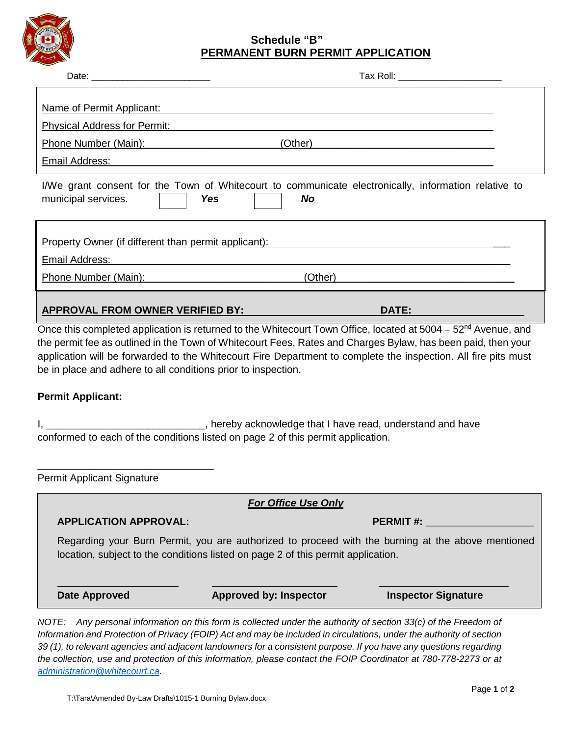

## **Schedule "B" PERMANENT BURN PERMIT APPLICATION**

|                                                                                                                                | <u>FERMANENT BURN FERMIT AFFEICATION</u>                                                                                                                                                                                                                                                                                                                     |                                                                                                                                                                                                                                                                                          |
|--------------------------------------------------------------------------------------------------------------------------------|--------------------------------------------------------------------------------------------------------------------------------------------------------------------------------------------------------------------------------------------------------------------------------------------------------------------------------------------------------------|------------------------------------------------------------------------------------------------------------------------------------------------------------------------------------------------------------------------------------------------------------------------------------------|
|                                                                                                                                |                                                                                                                                                                                                                                                                                                                                                              |                                                                                                                                                                                                                                                                                          |
|                                                                                                                                |                                                                                                                                                                                                                                                                                                                                                              |                                                                                                                                                                                                                                                                                          |
| Name of Permit Applicant:                                                                                                      | <u> 1989 - Johann Stoff, deutscher Stoff, der Stoff, der Stoff, der Stoff, der Stoff, der Stoff, der Stoff, der S</u><br><u>Physical Address for Permit:</u> All and the property of the control of the control of the control of the control of the control of the control of the control of the control of the control of the control of the control of th |                                                                                                                                                                                                                                                                                          |
|                                                                                                                                | (Other)                                                                                                                                                                                                                                                                                                                                                      |                                                                                                                                                                                                                                                                                          |
|                                                                                                                                | Email Address: Contract Contract Contract Contract Contract Contract Contract Contract Contract Contract Contract Contract Contract Contract Contract Contract Contract Contract Contract Contract Contract Contract Contract                                                                                                                                |                                                                                                                                                                                                                                                                                          |
| municipal services.                                                                                                            | I/We grant consent for the Town of Whitecourt to communicate electronically, information relative to<br><b>Yes</b><br><b>No</b>                                                                                                                                                                                                                              |                                                                                                                                                                                                                                                                                          |
| <b>Property Owner (if different than permit applicant):</b><br>Email Address:                                                  | <u> 1980 - Johann John Stein, mars and de British and de British and de British and de British and de British an</u>                                                                                                                                                                                                                                         |                                                                                                                                                                                                                                                                                          |
| Phone Number (Main):                                                                                                           | (Other)                                                                                                                                                                                                                                                                                                                                                      |                                                                                                                                                                                                                                                                                          |
|                                                                                                                                |                                                                                                                                                                                                                                                                                                                                                              |                                                                                                                                                                                                                                                                                          |
|                                                                                                                                |                                                                                                                                                                                                                                                                                                                                                              |                                                                                                                                                                                                                                                                                          |
|                                                                                                                                | APPROVAL FROM OWNER VERIFIED BY:                                                                                                                                                                                                                                                                                                                             | DATE: A CONTROLL CONTROLL CONTROLL CONTROLL<br>Once this completed application is returned to the Whitecourt Town Office, located at 5004 – 52 <sup>nd</sup> Avenue, and<br>the permit fee as outlined in the Town of Whitecourt Fees, Rates and Charges Bylaw, has been paid, then your |
|                                                                                                                                |                                                                                                                                                                                                                                                                                                                                                              |                                                                                                                                                                                                                                                                                          |
|                                                                                                                                | ________________________________, hereby acknowledge that I have read, understand and have<br>conformed to each of the conditions listed on page 2 of this permit application.                                                                                                                                                                               |                                                                                                                                                                                                                                                                                          |
|                                                                                                                                |                                                                                                                                                                                                                                                                                                                                                              |                                                                                                                                                                                                                                                                                          |
|                                                                                                                                | <b>For Office Use Only</b>                                                                                                                                                                                                                                                                                                                                   | application will be forwarded to the Whitecourt Fire Department to complete the inspection. All fire pits must                                                                                                                                                                           |
| <b>APPLICATION APPROVAL:</b>                                                                                                   |                                                                                                                                                                                                                                                                                                                                                              | <b>PERMIT#:</b>                                                                                                                                                                                                                                                                          |
| be in place and adhere to all conditions prior to inspection.<br><b>Permit Applicant:</b><br><b>Permit Applicant Signature</b> | location, subject to the conditions listed on page 2 of this permit application.                                                                                                                                                                                                                                                                             | Regarding your Burn Permit, you are authorized to proceed with the burning at the above mentioned                                                                                                                                                                                        |

*the collection, use and protection of this information, please contact the FOIP Coordinator at 780-778-2273 or at* 

*[administration@whitecourt.ca.](mailto:administration@whitecourt.ca)*